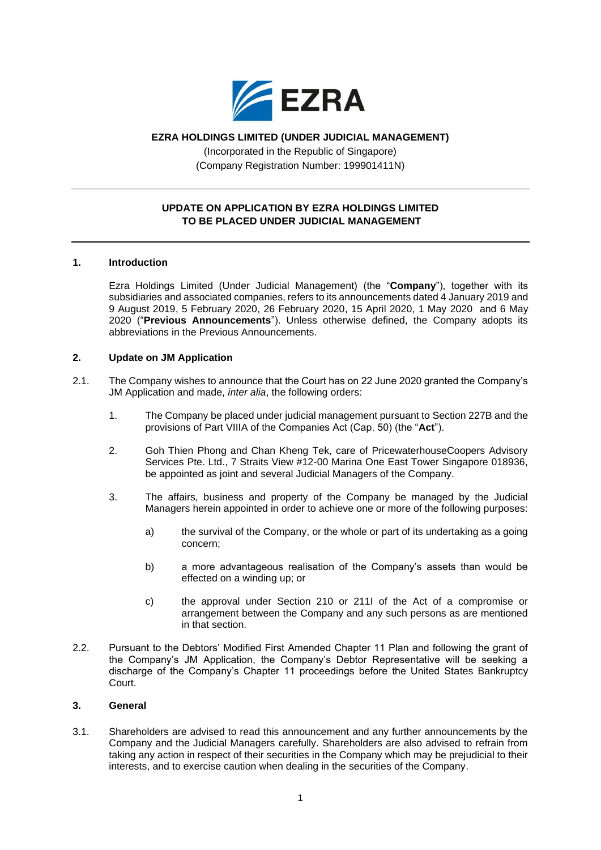

# **EZRA HOLDINGS LIMITED (UNDER JUDICIAL MANAGEMENT)**

(Incorporated in the Republic of Singapore) (Company Registration Number: 199901411N)

# **UPDATE ON APPLICATION BY EZRA HOLDINGS LIMITED TO BE PLACED UNDER JUDICIAL MANAGEMENT**

## **1. Introduction**

Ezra Holdings Limited (Under Judicial Management) (the "**Company**"), together with its subsidiaries and associated companies, refers to its announcements dated 4 January 2019 and 9 August 2019, 5 February 2020, 26 February 2020, 15 April 2020, 1 May 2020 and 6 May 2020 ("**Previous Announcements**"). Unless otherwise defined, the Company adopts its abbreviations in the Previous Announcements.

## **2. Update on JM Application**

- 2.1. The Company wishes to announce that the Court has on 22 June 2020 granted the Company's JM Application and made, *inter alia*, the following orders:
	- 1. The Company be placed under judicial management pursuant to Section 227B and the provisions of Part VIIIA of the Companies Act (Cap. 50) (the "**Act**").
	- 2. Goh Thien Phong and Chan Kheng Tek, care of PricewaterhouseCoopers Advisory Services Pte. Ltd., 7 Straits View #12-00 Marina One East Tower Singapore 018936, be appointed as joint and several Judicial Managers of the Company.
	- 3. The affairs, business and property of the Company be managed by the Judicial Managers herein appointed in order to achieve one or more of the following purposes:
		- a) the survival of the Company, or the whole or part of its undertaking as a going concern;
		- b) a more advantageous realisation of the Company's assets than would be effected on a winding up; or
		- c) the approval under Section 210 or 211I of the Act of a compromise or arrangement between the Company and any such persons as are mentioned in that section.
- 2.2. Pursuant to the Debtors' Modified First Amended Chapter 11 Plan and following the grant of the Company's JM Application, the Company's Debtor Representative will be seeking a discharge of the Company's Chapter 11 proceedings before the United States Bankruptcy Court.

## **3. General**

3.1. Shareholders are advised to read this announcement and any further announcements by the Company and the Judicial Managers carefully. Shareholders are also advised to refrain from taking any action in respect of their securities in the Company which may be prejudicial to their interests, and to exercise caution when dealing in the securities of the Company.